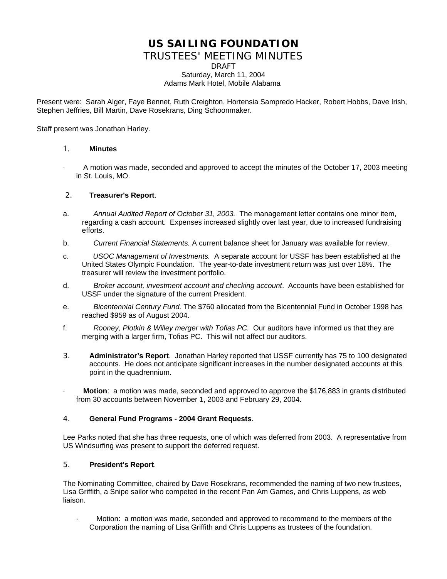# **US SAILING FOUNDATION**

## TRUSTEES' MEETING MINUTES

DRAFT Saturday, March 11, 2004

#### Adams Mark Hotel, Mobile Alabama

Present were: Sarah Alger, Faye Bennet, Ruth Creighton, Hortensia Sampredo Hacker, Robert Hobbs, Dave Irish, Stephen Jeffries, Bill Martin, Dave Rosekrans, Ding Schoonmaker.

Staff present was Jonathan Harley.

#### 1. **Minutes**

· A motion was made, seconded and approved to accept the minutes of the October 17, 2003 meeting in St. Louis, MO.

## 2. **Treasurer's Report**.

- a. *Annual Audited Report of October 31, 2003.* The management letter contains one minor item, regarding a cash account. Expenses increased slightly over last year, due to increased fundraising efforts.
- b. *Current Financial Statements.* A current balance sheet for January was available for review.
- c. *USOC Management of Investments.* A separate account for USSF has been established at the United States Olympic Foundation. The year-to-date investment return was just over 18%. The treasurer will review the investment portfolio.
- d. *Broker account, investment account and checking account*. Accounts have been established for USSF under the signature of the current President.
- e. *Bicentennial Century Fund.* The \$760 allocated from the Bicentennial Fund in October 1998 has reached \$959 as of August 2004.
- f. *Rooney, Plotkin & Willey merger with Tofias PC.* Our auditors have informed us that they are merging with a larger firm, Tofias PC. This will not affect our auditors.
- 3. **Administrator's Report**. Jonathan Harley reported that USSF currently has 75 to 100 designated accounts. He does not anticipate significant increases in the number designated accounts at this point in the quadrennium.
- · **Motion**: a motion was made, seconded and approved to approve the \$176,883 in grants distributed from 30 accounts between November 1, 2003 and February 29, 2004.

#### 4. **General Fund Programs - 2004 Grant Requests**.

Lee Parks noted that she has three requests, one of which was deferred from 2003. A representative from US Windsurfing was present to support the deferred request.

#### 5. **President's Report**.

The Nominating Committee, chaired by Dave Rosekrans, recommended the naming of two new trustees, Lisa Griffith, a Snipe sailor who competed in the recent Pan Am Games, and Chris Luppens, as web liaison.

Motion: a motion was made, seconded and approved to recommend to the members of the Corporation the naming of Lisa Griffith and Chris Luppens as trustees of the foundation.